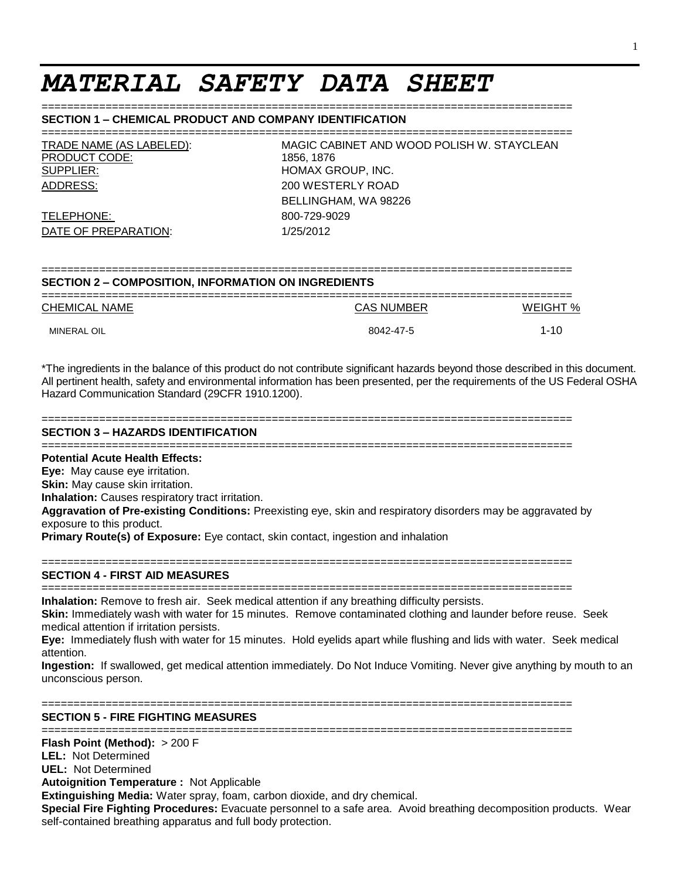# *MATERIAL SAFETY DATA SHEET*

#### **SECTION 1 – CHEMICAL PRODUCT AND COMPANY IDENTIFICATION**

| TRADE NAME (AS LABELED): | MAGIC CABINET AND WOOD POLISH W. STAYCLEAN |
|--------------------------|--------------------------------------------|
| <b>PRODUCT CODE:</b>     | 1856. 1876                                 |
| SUPPLIER:                | HOMAX GROUP, INC.                          |
| ADDRESS:                 | 200 WESTERLY ROAD                          |

TELEPHONE: 800-729-9029 DATE OF PREPARATION: 1/25/2012

MAGIC CABINET AND WOOD POLISH W. STAYCLEAN 1856, 1876 HOMAX GROUP, INC. 200 WESTERLY ROAD BELLINGHAM, WA 98226

#### =================================================================================== **SECTION 2 – COMPOSITION, INFORMATION ON INGREDIENTS**

===================================================================================

| <b>CHEMICAL NAME</b> | <b>CAS NUMBER</b> | WEIGHT % |
|----------------------|-------------------|----------|
| <b>MINERAL OIL</b>   | 8042-47-5         | 1-10     |

\*The ingredients in the balance of this product do not contribute significant hazards beyond those described in this document. All pertinent health, safety and environmental information has been presented, per the requirements of the US Federal OSHA Hazard Communication Standard (29CFR 1910.1200).

#### ===================================================================================

# **SECTION 3 – HAZARDS IDENTIFICATION**

===================================================================================

**Potential Acute Health Effects:**

**Eye:** May cause eye irritation.

**Skin:** May cause skin irritation.

**Inhalation:** Causes respiratory tract irritation.

**Aggravation of Pre-existing Conditions:** Preexisting eye, skin and respiratory disorders may be aggravated by exposure to this product.

**Primary Route(s) of Exposure:** Eye contact, skin contact, ingestion and inhalation

#### ===================================================================================

# **SECTION 4 - FIRST AID MEASURES**

=================================================================================== **Inhalation:** Remove to fresh air. Seek medical attention if any breathing difficulty persists.

**Skin:** Immediately wash with water for 15 minutes. Remove contaminated clothing and launder before reuse. Seek medical attention if irritation persists.

**Eye:** Immediately flush with water for 15 minutes. Hold eyelids apart while flushing and lids with water. Seek medical attention.

**Ingestion:** If swallowed, get medical attention immediately. Do Not Induce Vomiting. Never give anything by mouth to an unconscious person.

#### ===================================================================================

**SECTION 5 - FIRE FIGHTING MEASURES**

===================================================================================

**Flash Point (Method):** > 200 F

**LEL:** Not Determined

**UEL:** Not Determined

**Autoignition Temperature :** Not Applicable

**Extinguishing Media:** Water spray, foam, carbon dioxide, and dry chemical.

**Special Fire Fighting Procedures:** Evacuate personnel to a safe area. Avoid breathing decomposition products. Wear self-contained breathing apparatus and full body protection.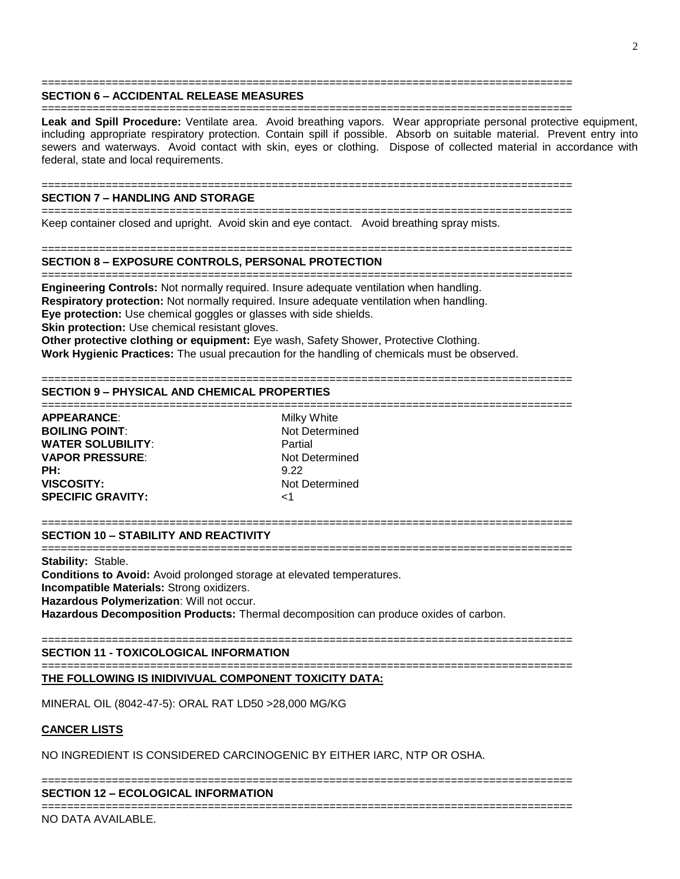#### =================================================================================== **SECTION 6 – ACCIDENTAL RELEASE MEASURES**

===================================================================================

**Leak and Spill Procedure:** Ventilate area. Avoid breathing vapors. Wear appropriate personal protective equipment, including appropriate respiratory protection. Contain spill if possible. Absorb on suitable material. Prevent entry into sewers and waterways. Avoid contact with skin, eyes or clothing. Dispose of collected material in accordance with federal, state and local requirements.

#### =================================================================================== **SECTION 7 – HANDLING AND STORAGE**

=================================================================================== Keep container closed and upright. Avoid skin and eye contact. Avoid breathing spray mists.

===================================================================================

# **SECTION 8 – EXPOSURE CONTROLS, PERSONAL PROTECTION**

=================================================================================== **Engineering Controls:** Not normally required. Insure adequate ventilation when handling.

**Respiratory protection:** Not normally required. Insure adequate ventilation when handling.

**Eye protection:** Use chemical goggles or glasses with side shields.

**Skin protection:** Use chemical resistant gloves.

**Other protective clothing or equipment:** Eye wash, Safety Shower, Protective Clothing.

**Work Hygienic Practices:** The usual precaution for the handling of chemicals must be observed.

# ===================================================================================

# **SECTION 9 – PHYSICAL AND CHEMICAL PROPERTIES**

=================================================================================== **APPEARANCE:** Milky White **BOILING POINT:** Not Determined **WATER SOLUBILITY**: Partial **VAPOR PRESSURE:** Not Determined **PH:** 9.22 **VISCOSITY:** Not Determined **SPECIFIC GRAVITY:** <1

#### **SECTION 10 – STABILITY AND REACTIVITY**

===================================================================================

===================================================================================

**Stability:** Stable.

**Conditions to Avoid:** Avoid prolonged storage at elevated temperatures.

**Incompatible Materials:** Strong oxidizers.

**Hazardous Polymerization**: Will not occur.

**Hazardous Decomposition Products:** Thermal decomposition can produce oxides of carbon.

# ===================================================================================

**SECTION 11 - TOXICOLOGICAL INFORMATION** ===================================================================================

## **THE FOLLOWING IS INIDIVIVUAL COMPONENT TOXICITY DATA:**

MINERAL OIL (8042-47-5): ORAL RAT LD50 >28,000 MG/KG

## **CANCER LISTS**

NO INGREDIENT IS CONSIDERED CARCINOGENIC BY EITHER IARC, NTP OR OSHA.

## ===================================================================================

#### **SECTION 12 – ECOLOGICAL INFORMATION** ===================================================================================

NO DATA AVAILABLE.